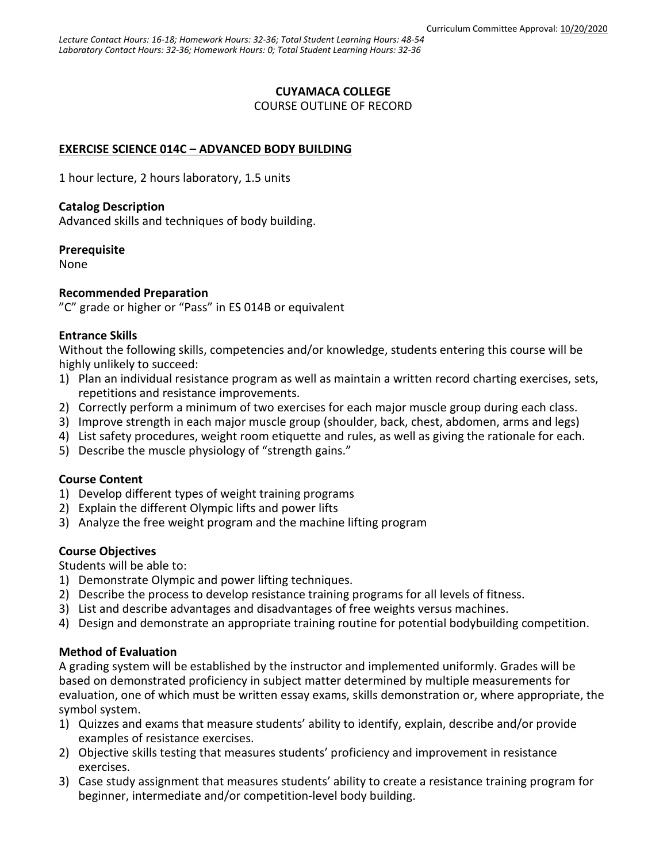## **CUYAMACA COLLEGE**

COURSE OUTLINE OF RECORD

# **EXERCISE SCIENCE 014C – ADVANCED BODY BUILDING**

1 hour lecture, 2 hours laboratory, 1.5 units

#### **Catalog Description**

Advanced skills and techniques of body building.

#### **Prerequisite**

None

#### **Recommended Preparation**

"C" grade or higher or "Pass" in ES 014B or equivalent

## **Entrance Skills**

Without the following skills, competencies and/or knowledge, students entering this course will be highly unlikely to succeed:

- 1) Plan an individual resistance program as well as maintain a written record charting exercises, sets, repetitions and resistance improvements.
- 2) Correctly perform a minimum of two exercises for each major muscle group during each class.
- 3) Improve strength in each major muscle group (shoulder, back, chest, abdomen, arms and legs)
- 4) List safety procedures, weight room etiquette and rules, as well as giving the rationale for each.
- 5) Describe the muscle physiology of "strength gains."

## **Course Content**

- 1) Develop different types of weight training programs
- 2) Explain the different Olympic lifts and power lifts
- 3) Analyze the free weight program and the machine lifting program

## **Course Objectives**

Students will be able to:

- 1) Demonstrate Olympic and power lifting techniques.
- 2) Describe the process to develop resistance training programs for all levels of fitness.
- 3) List and describe advantages and disadvantages of free weights versus machines.
- 4) Design and demonstrate an appropriate training routine for potential bodybuilding competition.

## **Method of Evaluation**

A grading system will be established by the instructor and implemented uniformly. Grades will be based on demonstrated proficiency in subject matter determined by multiple measurements for evaluation, one of which must be written essay exams, skills demonstration or, where appropriate, the symbol system.

- 1) Quizzes and exams that measure students' ability to identify, explain, describe and/or provide examples of resistance exercises.
- 2) Objective skills testing that measures students' proficiency and improvement in resistance exercises.
- 3) Case study assignment that measures students' ability to create a resistance training program for beginner, intermediate and/or competition-level body building.